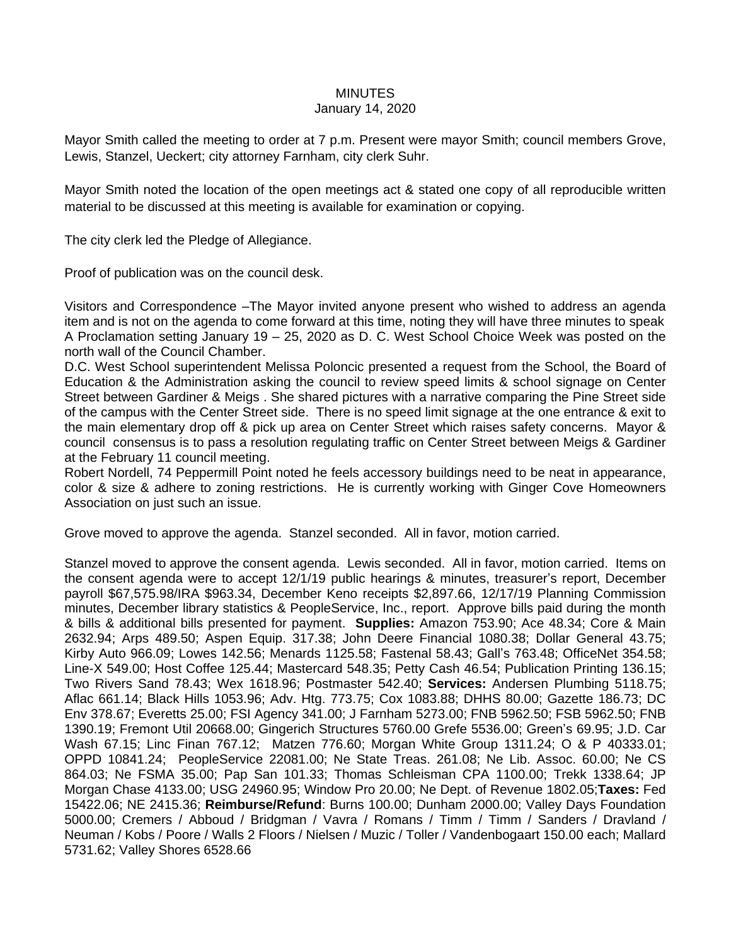## **MINUTES**

## January 14, 2020

Mayor Smith called the meeting to order at 7 p.m. Present were mayor Smith; council members Grove, Lewis, Stanzel, Ueckert; city attorney Farnham, city clerk Suhr.

Mayor Smith noted the location of the open meetings act & stated one copy of all reproducible written material to be discussed at this meeting is available for examination or copying.

The city clerk led the Pledge of Allegiance.

Proof of publication was on the council desk.

Visitors and Correspondence –The Mayor invited anyone present who wished to address an agenda item and is not on the agenda to come forward at this time, noting they will have three minutes to speak A Proclamation setting January 19 – 25, 2020 as D. C. West School Choice Week was posted on the north wall of the Council Chamber.

D.C. West School superintendent Melissa Poloncic presented a request from the School, the Board of Education & the Administration asking the council to review speed limits & school signage on Center Street between Gardiner & Meigs . She shared pictures with a narrative comparing the Pine Street side of the campus with the Center Street side. There is no speed limit signage at the one entrance & exit to the main elementary drop off & pick up area on Center Street which raises safety concerns. Mayor & council consensus is to pass a resolution regulating traffic on Center Street between Meigs & Gardiner at the February 11 council meeting.

Robert Nordell, 74 Peppermill Point noted he feels accessory buildings need to be neat in appearance, color & size & adhere to zoning restrictions. He is currently working with Ginger Cove Homeowners Association on just such an issue.

Grove moved to approve the agenda. Stanzel seconded. All in favor, motion carried.

Stanzel moved to approve the consent agenda. Lewis seconded. All in favor, motion carried. Items on the consent agenda were to accept 12/1/19 public hearings & minutes, treasurer's report, December payroll \$67,575.98/IRA \$963.34, December Keno receipts \$2,897.66, 12/17/19 Planning Commission minutes, December library statistics & PeopleService, Inc., report. Approve bills paid during the month & bills & additional bills presented for payment. **Supplies:** Amazon 753.90; Ace 48.34; Core & Main 2632.94; Arps 489.50; Aspen Equip. 317.38; John Deere Financial 1080.38; Dollar General 43.75; Kirby Auto 966.09; Lowes 142.56; Menards 1125.58; Fastenal 58.43; Gall's 763.48; OfficeNet 354.58; Line-X 549.00; Host Coffee 125.44; Mastercard 548.35; Petty Cash 46.54; Publication Printing 136.15; Two Rivers Sand 78.43; Wex 1618.96; Postmaster 542.40; **Services:** Andersen Plumbing 5118.75; Aflac 661.14; Black Hills 1053.96; Adv. Htg. 773.75; Cox 1083.88; DHHS 80.00; Gazette 186.73; DC Env 378.67; Everetts 25.00; FSI Agency 341.00; J Farnham 5273.00; FNB 5962.50; FSB 5962.50; FNB 1390.19; Fremont Util 20668.00; Gingerich Structures 5760.00 Grefe 5536.00; Green's 69.95; J.D. Car Wash 67.15; Linc Finan 767.12; Matzen 776.60; Morgan White Group 1311.24; O & P 40333.01; OPPD 10841.24; PeopleService 22081.00; Ne State Treas. 261.08; Ne Lib. Assoc. 60.00; Ne CS 864.03; Ne FSMA 35.00; Pap San 101.33; Thomas Schleisman CPA 1100.00; Trekk 1338.64; JP Morgan Chase 4133.00; USG 24960.95; Window Pro 20.00; Ne Dept. of Revenue 1802.05;**Taxes:** Fed 15422.06; NE 2415.36; **Reimburse/Refund**: Burns 100.00; Dunham 2000.00; Valley Days Foundation 5000.00; Cremers / Abboud / Bridgman / Vavra / Romans / Timm / Timm / Sanders / Dravland / Neuman / Kobs / Poore / Walls 2 Floors / Nielsen / Muzic / Toller / Vandenbogaart 150.00 each; Mallard 5731.62; Valley Shores 6528.66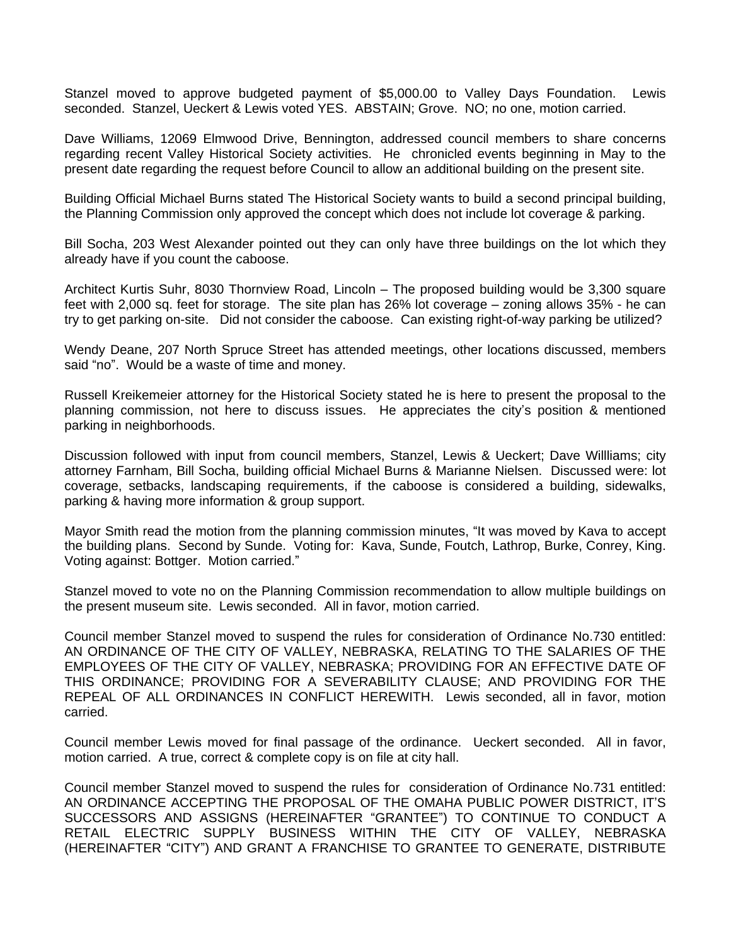Stanzel moved to approve budgeted payment of \$5,000.00 to Valley Days Foundation. Lewis seconded. Stanzel, Ueckert & Lewis voted YES. ABSTAIN; Grove. NO; no one, motion carried.

Dave Williams, 12069 Elmwood Drive, Bennington, addressed council members to share concerns regarding recent Valley Historical Society activities. He chronicled events beginning in May to the present date regarding the request before Council to allow an additional building on the present site.

Building Official Michael Burns stated The Historical Society wants to build a second principal building, the Planning Commission only approved the concept which does not include lot coverage & parking.

Bill Socha, 203 West Alexander pointed out they can only have three buildings on the lot which they already have if you count the caboose.

Architect Kurtis Suhr, 8030 Thornview Road, Lincoln – The proposed building would be 3,300 square feet with 2,000 sq. feet for storage. The site plan has 26% lot coverage – zoning allows 35% - he can try to get parking on-site. Did not consider the caboose. Can existing right-of-way parking be utilized?

Wendy Deane, 207 North Spruce Street has attended meetings, other locations discussed, members said "no". Would be a waste of time and money.

Russell Kreikemeier attorney for the Historical Society stated he is here to present the proposal to the planning commission, not here to discuss issues. He appreciates the city's position & mentioned parking in neighborhoods.

Discussion followed with input from council members, Stanzel, Lewis & Ueckert; Dave Willliams; city attorney Farnham, Bill Socha, building official Michael Burns & Marianne Nielsen. Discussed were: lot coverage, setbacks, landscaping requirements, if the caboose is considered a building, sidewalks, parking & having more information & group support.

Mayor Smith read the motion from the planning commission minutes, "It was moved by Kava to accept the building plans. Second by Sunde. Voting for: Kava, Sunde, Foutch, Lathrop, Burke, Conrey, King. Voting against: Bottger. Motion carried."

Stanzel moved to vote no on the Planning Commission recommendation to allow multiple buildings on the present museum site. Lewis seconded. All in favor, motion carried.

Council member Stanzel moved to suspend the rules for consideration of Ordinance No.730 entitled: AN ORDINANCE OF THE CITY OF VALLEY, NEBRASKA, RELATING TO THE SALARIES OF THE EMPLOYEES OF THE CITY OF VALLEY, NEBRASKA; PROVIDING FOR AN EFFECTIVE DATE OF THIS ORDINANCE; PROVIDING FOR A SEVERABILITY CLAUSE; AND PROVIDING FOR THE REPEAL OF ALL ORDINANCES IN CONFLICT HEREWITH. Lewis seconded, all in favor, motion carried.

Council member Lewis moved for final passage of the ordinance. Ueckert seconded. All in favor, motion carried. A true, correct & complete copy is on file at city hall.

Council member Stanzel moved to suspend the rules for consideration of Ordinance No.731 entitled: AN ORDINANCE ACCEPTING THE PROPOSAL OF THE OMAHA PUBLIC POWER DISTRICT, IT'S SUCCESSORS AND ASSIGNS (HEREINAFTER "GRANTEE") TO CONTINUE TO CONDUCT A RETAIL ELECTRIC SUPPLY BUSINESS WITHIN THE CITY OF VALLEY, NEBRASKA (HEREINAFTER "CITY") AND GRANT A FRANCHISE TO GRANTEE TO GENERATE, DISTRIBUTE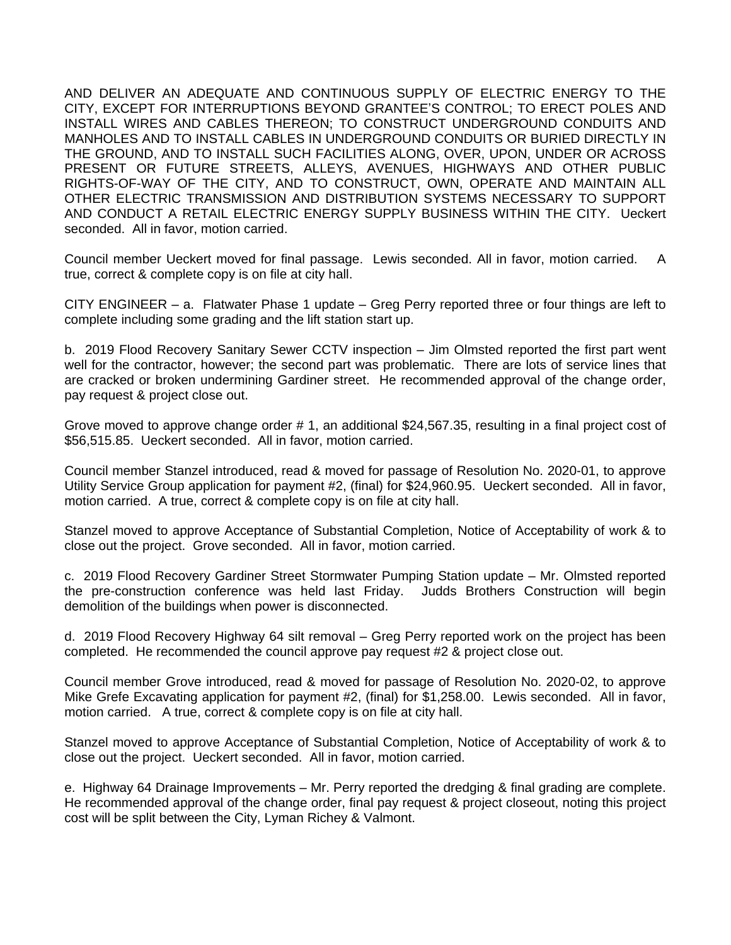AND DELIVER AN ADEQUATE AND CONTINUOUS SUPPLY OF ELECTRIC ENERGY TO THE CITY, EXCEPT FOR INTERRUPTIONS BEYOND GRANTEE'S CONTROL; TO ERECT POLES AND INSTALL WIRES AND CABLES THEREON; TO CONSTRUCT UNDERGROUND CONDUITS AND MANHOLES AND TO INSTALL CABLES IN UNDERGROUND CONDUITS OR BURIED DIRECTLY IN THE GROUND, AND TO INSTALL SUCH FACILITIES ALONG, OVER, UPON, UNDER OR ACROSS PRESENT OR FUTURE STREETS, ALLEYS, AVENUES, HIGHWAYS AND OTHER PUBLIC RIGHTS-OF-WAY OF THE CITY, AND TO CONSTRUCT, OWN, OPERATE AND MAINTAIN ALL OTHER ELECTRIC TRANSMISSION AND DISTRIBUTION SYSTEMS NECESSARY TO SUPPORT AND CONDUCT A RETAIL ELECTRIC ENERGY SUPPLY BUSINESS WITHIN THE CITY. Ueckert seconded. All in favor, motion carried.

Council member Ueckert moved for final passage. Lewis seconded. All in favor, motion carried. A true, correct & complete copy is on file at city hall.

CITY ENGINEER – a. Flatwater Phase 1 update – Greg Perry reported three or four things are left to complete including some grading and the lift station start up.

b. 2019 Flood Recovery Sanitary Sewer CCTV inspection – Jim Olmsted reported the first part went well for the contractor, however; the second part was problematic. There are lots of service lines that are cracked or broken undermining Gardiner street. He recommended approval of the change order, pay request & project close out.

Grove moved to approve change order # 1, an additional \$24,567.35, resulting in a final project cost of \$56,515.85. Ueckert seconded. All in favor, motion carried.

Council member Stanzel introduced, read & moved for passage of Resolution No. 2020-01, to approve Utility Service Group application for payment #2, (final) for \$24,960.95. Ueckert seconded. All in favor, motion carried. A true, correct & complete copy is on file at city hall.

Stanzel moved to approve Acceptance of Substantial Completion, Notice of Acceptability of work & to close out the project. Grove seconded. All in favor, motion carried.

c. 2019 Flood Recovery Gardiner Street Stormwater Pumping Station update – Mr. Olmsted reported the pre-construction conference was held last Friday. Judds Brothers Construction will begin demolition of the buildings when power is disconnected.

d. 2019 Flood Recovery Highway 64 silt removal – Greg Perry reported work on the project has been completed. He recommended the council approve pay request #2 & project close out.

Council member Grove introduced, read & moved for passage of Resolution No. 2020-02, to approve Mike Grefe Excavating application for payment #2, (final) for \$1,258.00. Lewis seconded. All in favor, motion carried. A true, correct & complete copy is on file at city hall.

Stanzel moved to approve Acceptance of Substantial Completion, Notice of Acceptability of work & to close out the project. Ueckert seconded. All in favor, motion carried.

e. Highway 64 Drainage Improvements – Mr. Perry reported the dredging & final grading are complete. He recommended approval of the change order, final pay request & project closeout, noting this project cost will be split between the City, Lyman Richey & Valmont.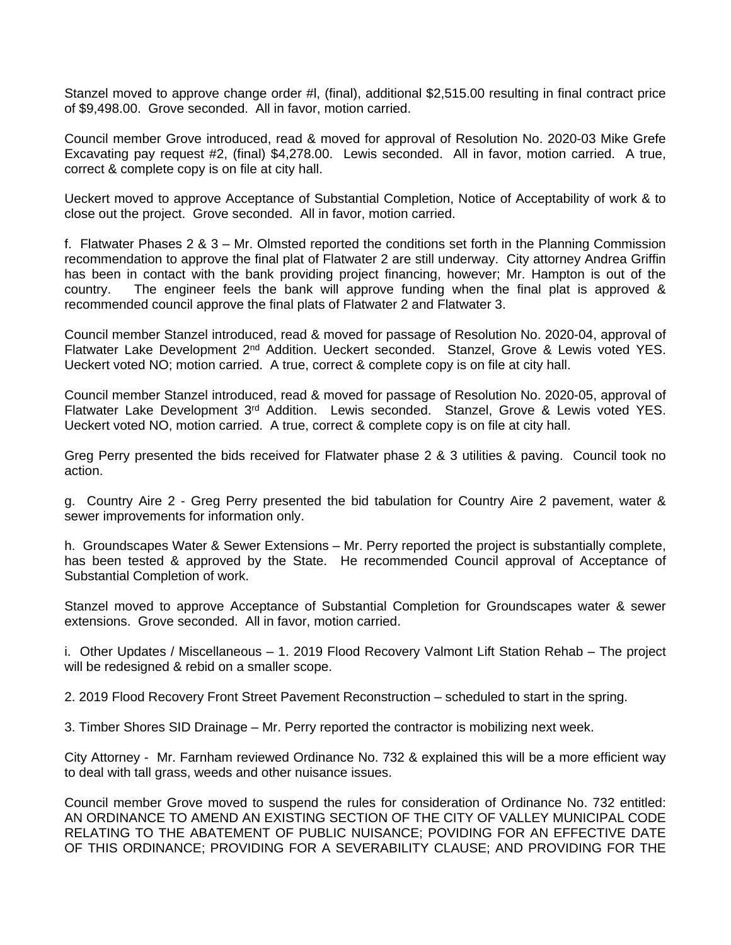Stanzel moved to approve change order #l, (final), additional \$2,515.00 resulting in final contract price of \$9,498.00. Grove seconded. All in favor, motion carried.

Council member Grove introduced, read & moved for approval of Resolution No. 2020-03 Mike Grefe Excavating pay request #2, (final) \$4,278.00. Lewis seconded. All in favor, motion carried. A true, correct & complete copy is on file at city hall.

Ueckert moved to approve Acceptance of Substantial Completion, Notice of Acceptability of work & to close out the project. Grove seconded. All in favor, motion carried.

f. Flatwater Phases 2 & 3 – Mr. Olmsted reported the conditions set forth in the Planning Commission recommendation to approve the final plat of Flatwater 2 are still underway. City attorney Andrea Griffin has been in contact with the bank providing project financing, however; Mr. Hampton is out of the country. The engineer feels the bank will approve funding when the final plat is approved & recommended council approve the final plats of Flatwater 2 and Flatwater 3.

Council member Stanzel introduced, read & moved for passage of Resolution No. 2020-04, approval of Flatwater Lake Development 2<sup>nd</sup> Addition. Ueckert seconded. Stanzel, Grove & Lewis voted YES. Ueckert voted NO; motion carried. A true, correct & complete copy is on file at city hall.

Council member Stanzel introduced, read & moved for passage of Resolution No. 2020-05, approval of Flatwater Lake Development 3<sup>rd</sup> Addition. Lewis seconded. Stanzel, Grove & Lewis voted YES. Ueckert voted NO, motion carried. A true, correct & complete copy is on file at city hall.

Greg Perry presented the bids received for Flatwater phase 2 & 3 utilities & paving. Council took no action.

g. Country Aire 2 - Greg Perry presented the bid tabulation for Country Aire 2 pavement, water & sewer improvements for information only.

h. Groundscapes Water & Sewer Extensions – Mr. Perry reported the project is substantially complete, has been tested & approved by the State. He recommended Council approval of Acceptance of Substantial Completion of work.

Stanzel moved to approve Acceptance of Substantial Completion for Groundscapes water & sewer extensions. Grove seconded. All in favor, motion carried.

i. Other Updates / Miscellaneous – 1. 2019 Flood Recovery Valmont Lift Station Rehab – The project will be redesigned & rebid on a smaller scope.

2. 2019 Flood Recovery Front Street Pavement Reconstruction – scheduled to start in the spring.

3. Timber Shores SID Drainage – Mr. Perry reported the contractor is mobilizing next week.

City Attorney - Mr. Farnham reviewed Ordinance No. 732 & explained this will be a more efficient way to deal with tall grass, weeds and other nuisance issues.

Council member Grove moved to suspend the rules for consideration of Ordinance No. 732 entitled: AN ORDINANCE TO AMEND AN EXISTING SECTION OF THE CITY OF VALLEY MUNICIPAL CODE RELATING TO THE ABATEMENT OF PUBLIC NUISANCE; POVIDING FOR AN EFFECTIVE DATE OF THIS ORDINANCE; PROVIDING FOR A SEVERABILITY CLAUSE; AND PROVIDING FOR THE